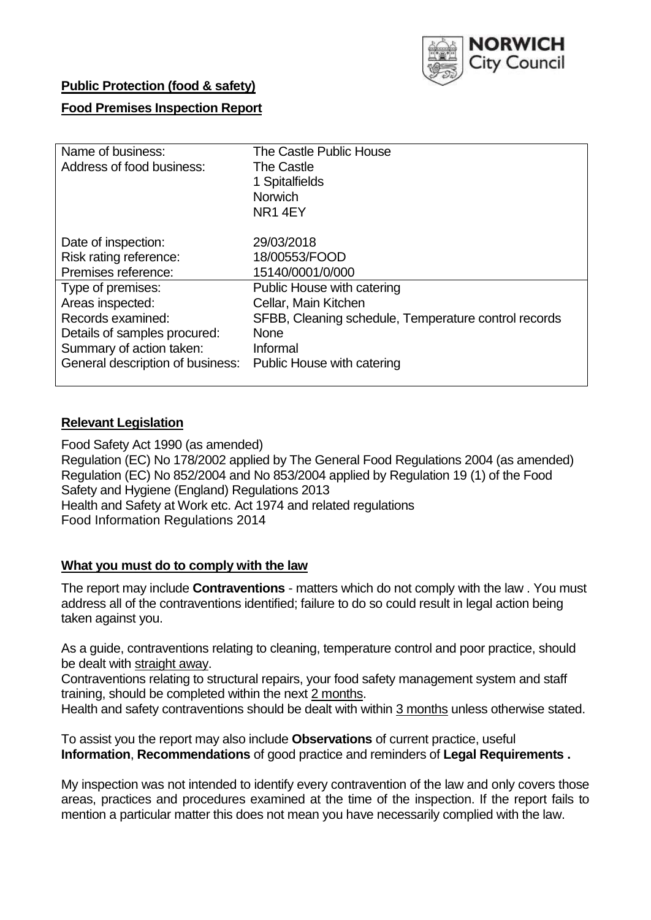

# **Public Protection (food & safety)**

# **Food Premises Inspection Report**

| Name of business:<br>Address of food business: | The Castle Public House<br><b>The Castle</b><br>1 Spitalfields<br><b>Norwich</b><br>NR <sub>1</sub> 4EY |
|------------------------------------------------|---------------------------------------------------------------------------------------------------------|
| Date of inspection:                            | 29/03/2018                                                                                              |
| Risk rating reference:                         | 18/00553/FOOD                                                                                           |
| Premises reference:                            | 15140/0001/0/000                                                                                        |
| Type of premises:                              | Public House with catering                                                                              |
| Areas inspected:                               | Cellar, Main Kitchen                                                                                    |
| Records examined:                              | SFBB, Cleaning schedule, Temperature control records                                                    |
| Details of samples procured:                   | <b>None</b>                                                                                             |
| Summary of action taken:                       | Informal                                                                                                |
| General description of business:               | Public House with catering                                                                              |

### **Relevant Legislation**

Food Safety Act 1990 (as amended) Regulation (EC) No 178/2002 applied by The General Food Regulations 2004 (as amended) Regulation (EC) No 852/2004 and No 853/2004 applied by Regulation 19 (1) of the Food Safety and Hygiene (England) Regulations 2013 Health and Safety at Work etc. Act 1974 and related regulations Food Information Regulations 2014

#### **What you must do to comply with the law**

The report may include **Contraventions** - matters which do not comply with the law . You must address all of the contraventions identified; failure to do so could result in legal action being taken against you.

As a guide, contraventions relating to cleaning, temperature control and poor practice, should be dealt with straight away.

Contraventions relating to structural repairs, your food safety management system and staff training, should be completed within the next 2 months.

Health and safety contraventions should be dealt with within 3 months unless otherwise stated.

To assist you the report may also include **Observations** of current practice, useful **Information**, **Recommendations** of good practice and reminders of **Legal Requirements .**

My inspection was not intended to identify every contravention of the law and only covers those areas, practices and procedures examined at the time of the inspection. If the report fails to mention a particular matter this does not mean you have necessarily complied with the law.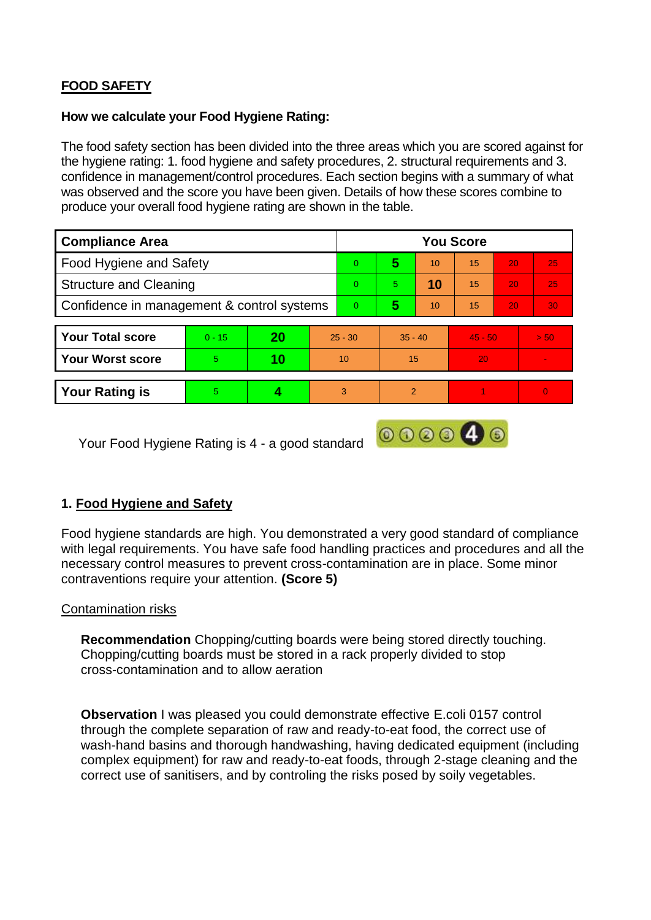# **FOOD SAFETY**

## **How we calculate your Food Hygiene Rating:**

The food safety section has been divided into the three areas which you are scored against for the hygiene rating: 1. food hygiene and safety procedures, 2. structural requirements and 3. confidence in management/control procedures. Each section begins with a summary of what was observed and the score you have been given. Details of how these scores combine to produce your overall food hygiene rating are shown in the table.

| <b>Compliance Area</b>                     |          |           |           | <b>You Score</b> |                |    |           |    |                 |  |  |
|--------------------------------------------|----------|-----------|-----------|------------------|----------------|----|-----------|----|-----------------|--|--|
| Food Hygiene and Safety                    |          |           |           | $\overline{0}$   | 5              | 10 | 15        | 20 | 25              |  |  |
| <b>Structure and Cleaning</b>              |          |           |           | $\Omega$         | 5.             | 10 | 15        | 20 | 25              |  |  |
| Confidence in management & control systems |          |           |           | $\Omega$         | 5              | 10 | 15        | 20 | 30 <sup>°</sup> |  |  |
|                                            |          |           |           |                  |                |    |           |    |                 |  |  |
| <b>Your Total score</b>                    | $0 - 15$ | <b>20</b> | $25 - 30$ |                  | $35 - 40$      |    | $45 - 50$ |    | > 50            |  |  |
| <b>Your Worst score</b>                    | 5.       | 10        | 10        |                  | 15             |    | 20        |    | $\blacksquare$  |  |  |
|                                            |          |           |           |                  |                |    |           |    |                 |  |  |
| <b>Your Rating is</b>                      | 5        |           |           | 3                | $\overline{2}$ |    |           |    | $\Omega$        |  |  |

Your Food Hygiene Rating is 4 - a good standard

# **1. Food Hygiene and Safety**

Food hygiene standards are high. You demonstrated a very good standard of compliance with legal requirements. You have safe food handling practices and procedures and all the necessary control measures to prevent cross-contamination are in place. Some minor contraventions require your attention. **(Score 5)**

000040

## Contamination risks

**Recommendation** Chopping/cutting boards were being stored directly touching. Chopping/cutting boards must be stored in a rack properly divided to stop cross-contamination and to allow aeration

**Observation I** was pleased you could demonstrate effective E.coli 0157 control through the complete separation of raw and ready-to-eat food, the correct use of wash-hand basins and thorough handwashing, having dedicated equipment (including complex equipment) for raw and ready-to-eat foods, through 2-stage cleaning and the correct use of sanitisers, and by controling the risks posed by soily vegetables.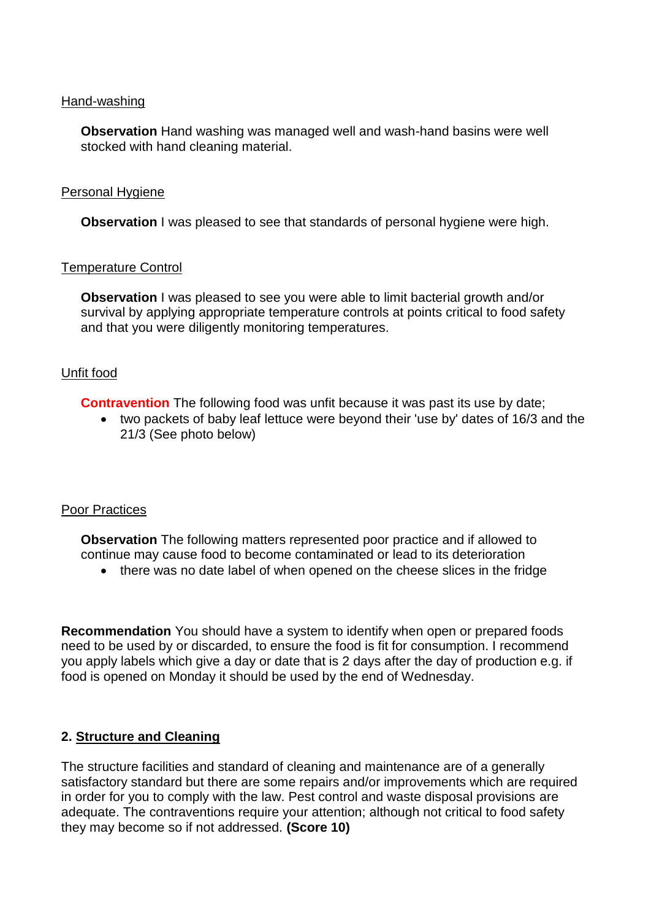#### Hand-washing

**Observation** Hand washing was managed well and wash-hand basins were well stocked with hand cleaning material.

#### Personal Hygiene

**Observation** I was pleased to see that standards of personal hygiene were high.

### Temperature Control

**Observation** I was pleased to see you were able to limit bacterial growth and/or survival by applying appropriate temperature controls at points critical to food safety and that you were diligently monitoring temperatures.

### Unfit food

**Contravention** The following food was unfit because it was past its use by date;

 two packets of baby leaf lettuce were beyond their 'use by' dates of 16/3 and the 21/3 (See photo below)

## Poor Practices

**Observation** The following matters represented poor practice and if allowed to continue may cause food to become contaminated or lead to its deterioration

there was no date label of when opened on the cheese slices in the fridge

**Recommendation** You should have a system to identify when open or prepared foods need to be used by or discarded, to ensure the food is fit for consumption. I recommend you apply labels which give a day or date that is 2 days after the day of production e.g. if food is opened on Monday it should be used by the end of Wednesday.

## **2. Structure and Cleaning**

The structure facilities and standard of cleaning and maintenance are of a generally satisfactory standard but there are some repairs and/or improvements which are required in order for you to comply with the law. Pest control and waste disposal provisions are adequate. The contraventions require your attention; although not critical to food safety they may become so if not addressed. **(Score 10)**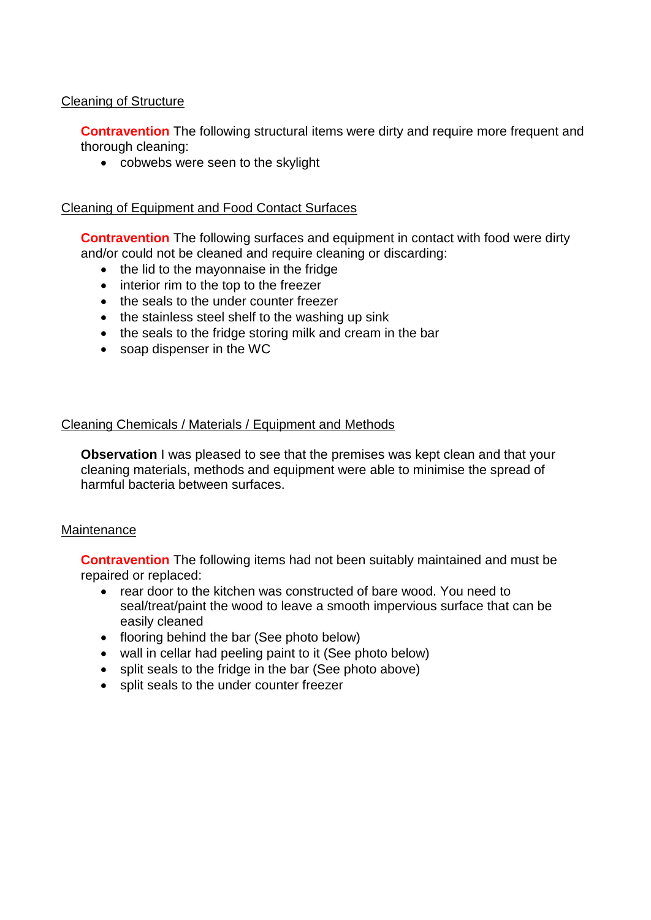## Cleaning of Structure

**Contravention** The following structural items were dirty and require more frequent and thorough cleaning:

cobwebs were seen to the skylight

## Cleaning of Equipment and Food Contact Surfaces

**Contravention** The following surfaces and equipment in contact with food were dirty and/or could not be cleaned and require cleaning or discarding:

- the lid to the mayonnaise in the fridge
- interior rim to the top to the freezer
- the seals to the under counter freezer
- the stainless steel shelf to the washing up sink
- the seals to the fridge storing milk and cream in the bar
- soap dispenser in the WC

## Cleaning Chemicals / Materials / Equipment and Methods

**Observation** I was pleased to see that the premises was kept clean and that your cleaning materials, methods and equipment were able to minimise the spread of harmful bacteria between surfaces.

#### **Maintenance**

**Contravention** The following items had not been suitably maintained and must be repaired or replaced:

- rear door to the kitchen was constructed of bare wood. You need to seal/treat/paint the wood to leave a smooth impervious surface that can be easily cleaned
- flooring behind the bar (See photo below)
- wall in cellar had peeling paint to it (See photo below)
- split seals to the fridge in the bar (See photo above)
- split seals to the under counter freezer